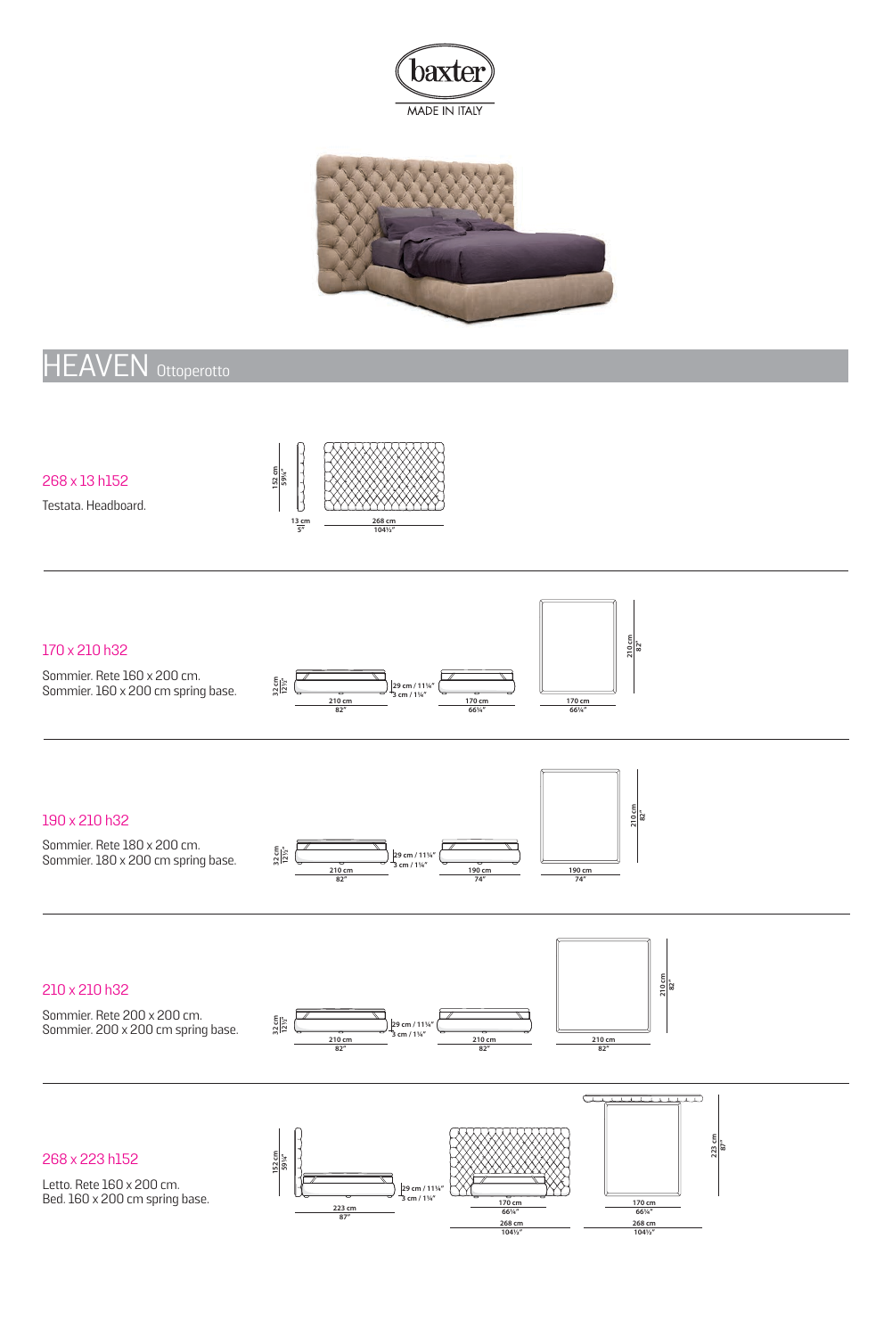



# HEAVEN Ottoperotto

268 x 13 h152

Testata. Headboard.



#### 170 x 210 h32

Sommier. Rete 160 x 200 cm. Sommier. 160 x 200 cm spring base.





#### 190 x 210 h32

Sommier. Rete 180 x 200 cm. Sommier. 180 x 200 cm spring base.





### 210 x 210 h32

Sommier. Rete 200 x 200 cm. Sommier. 200 x 200 cm spring base.







268 x 223 h152

Letto. Rete 160 x 200 cm. Bed. 160 x 200 cm spring base.